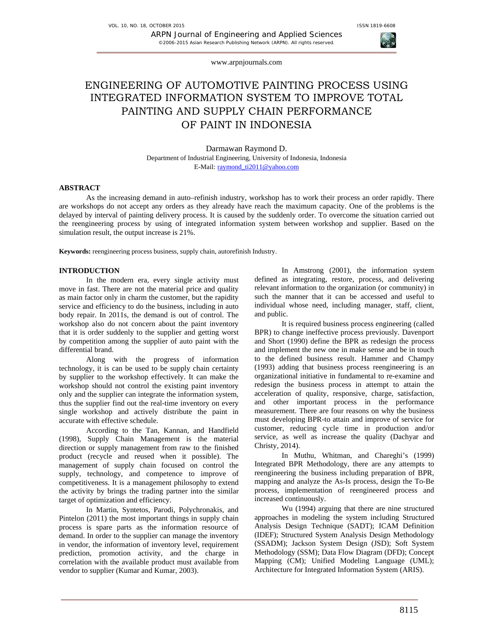



www.arpnjournals.com

# ENGINEERING OF AUTOMOTIVE PAINTING PROCESS USING INTEGRATED INFORMATION SYSTEM TO IMPROVE TOTAL PAINTING AND SUPPLY CHAIN PERFORMANCE OF PAINT IN INDONESIA

Darmawan Raymond D. Department of Industrial Engineering, University of Indonesia, Indonesia E-Mail: raymond\_ti2011@yahoo.com

### **ABSTRACT**

As the increasing demand in auto–refinish industry, workshop has to work their process an order rapidly. There are workshops do not accept any orders as they already have reach the maximum capacity. One of the problems is the delayed by interval of painting delivery process. It is caused by the suddenly order. To overcome the situation carried out the reengineering process by using of integrated information system between workshop and supplier. Based on the simulation result, the output increase is 21%.

**Keywords:** reengineering process business, supply chain, autorefinish Industry.

# **INTRODUCTION**

In the modern era, every single activity must move in fast. There are not the material price and quality as main factor only in charm the customer, but the rapidity service and efficiency to do the business, including in auto body repair. In 2011s, the demand is out of control. The workshop also do not concern about the paint inventory that it is order suddenly to the supplier and getting worst by competition among the supplier of auto paint with the differential brand.

Along with the progress of information technology, it is can be used to be supply chain certainty by supplier to the workshop effectively. It can make the workshop should not control the existing paint inventory only and the supplier can integrate the information system, thus the supplier find out the real-time inventory on every single workshop and actively distribute the paint in accurate with effective schedule.

According to the Tan, Kannan, and Handfield (1998), Supply Chain Management is the material direction or supply management from raw to the finished product (recycle and reused when it possible). The management of supply chain focused on control the supply, technology, and competence to improve of competitiveness. It is a management philosophy to extend the activity by brings the trading partner into the similar target of optimization and efficiency.

In Martin, Syntetos, Parodi, Polychronakis, and Pintelon (2011) the most important things in supply chain process is spare parts as the information resource of demand. In order to the supplier can manage the inventory in vendor, the information of inventory level, requirement prediction, promotion activity, and the charge in correlation with the available product must available from vendor to supplier (Kumar and Kumar, 2003).

In Amstrong (2001), the information system defined as integrating, restore, process, and delivering relevant information to the organization (or community) in such the manner that it can be accessed and useful to individual whose need, including manager, staff, client, and public.

It is required business process engineering (called BPR) to change ineffective process previously. Davenport and Short (1990) define the BPR as redesign the process and implement the new one in make sense and be in touch to the defined business result. Hammer and Champy (1993) adding that business process reengineering is an organizational initiative in fundamental to re-examine and redesign the business process in attempt to attain the acceleration of quality, responsive, charge, satisfaction, and other important process in the performance measurement. There are four reasons on why the business must developing BPR-to attain and improve of service for customer, reducing cycle time in production and/or service, as well as increase the quality (Dachyar and Christy, 2014).

In Muthu, Whitman, and Chareghi's (1999) Integrated BPR Methodology, there are any attempts to reengineering the business including preparation of BPR, mapping and analyze the As-Is process, design the To-Be process, implementation of reengineered process and increased continuously.

Wu (1994) arguing that there are nine structured approaches in modeling the system including Structured Analysis Design Technique (SADT); ICAM Definition (IDEF); Structured System Analysis Design Methodology (SSADM); Jackson System Design (JSD); Soft System Methodology (SSM); Data Flow Diagram (DFD); Concept Mapping (CM); Unified Modeling Language (UML); Architecture for Integrated Information System (ARIS).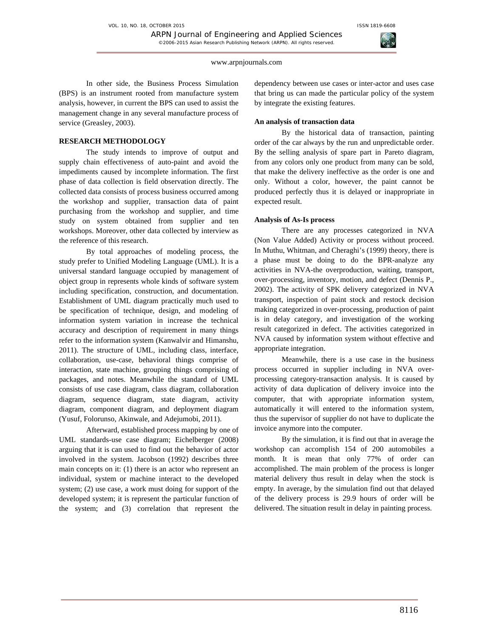www.arpnjournals.com

In other side, the Business Process Simulation (BPS) is an instrument rooted from manufacture system analysis, however, in current the BPS can used to assist the management change in any several manufacture process of service (Greasley, 2003).

# **RESEARCH METHODOLOGY**

The study intends to improve of output and supply chain effectiveness of auto-paint and avoid the impediments caused by incomplete information. The first phase of data collection is field observation directly. The collected data consists of process business occurred among the workshop and supplier, transaction data of paint purchasing from the workshop and supplier, and time study on system obtained from supplier and ten workshops. Moreover, other data collected by interview as the reference of this research.

By total approaches of modeling process, the study prefer to Unified Modeling Language (UML). It is a universal standard language occupied by management of object group in represents whole kinds of software system including specification, construction, and documentation. Establishment of UML diagram practically much used to be specification of technique, design, and modeling of information system variation in increase the technical accuracy and description of requirement in many things refer to the information system (Kanwalvir and Himanshu, 2011). The structure of UML, including class, interface, collaboration, use-case, behavioral things comprise of interaction, state machine, grouping things comprising of packages, and notes. Meanwhile the standard of UML consists of use case diagram, class diagram, collaboration diagram, sequence diagram, state diagram, activity diagram, component diagram, and deployment diagram (Yusuf, Folorunso, Akinwale, and Adejumobi, 2011).

 Afterward, established process mapping by one of UML standards-use case diagram; Eichelberger (2008) arguing that it is can used to find out the behavior of actor involved in the system. Jacobson (1992) describes three main concepts on it: (1) there is an actor who represent an individual, system or machine interact to the developed system; (2) use case, a work must doing for support of the developed system; it is represent the particular function of the system; and (3) correlation that represent the

dependency between use cases or inter-actor and uses case that bring us can made the particular policy of the system by integrate the existing features.

## **An analysis of transaction data**

 By the historical data of transaction, painting order of the car always by the run and unpredictable order. By the selling analysis of spare part in Pareto diagram, from any colors only one product from many can be sold, that make the delivery ineffective as the order is one and only. Without a color, however, the paint cannot be produced perfectly thus it is delayed or inappropriate in expected result.

# **Analysis of As-Is process**

 There are any processes categorized in NVA (Non Value Added) Activity or process without proceed. In Muthu, Whitman, and Cheraghi's (1999) theory, there is a phase must be doing to do the BPR-analyze any activities in NVA-the overproduction, waiting, transport, over-processing, inventory, motion, and defect (Dennis P., 2002). The activity of SPK delivery categorized in NVA transport, inspection of paint stock and restock decision making categorized in over-processing, production of paint is in delay category, and investigation of the working result categorized in defect. The activities categorized in NVA caused by information system without effective and appropriate integration.

Meanwhile, there is a use case in the business process occurred in supplier including in NVA overprocessing category-transaction analysis. It is caused by activity of data duplication of delivery invoice into the computer, that with appropriate information system, automatically it will entered to the information system, thus the supervisor of supplier do not have to duplicate the invoice anymore into the computer.

 By the simulation, it is find out that in average the workshop can accomplish 154 of 200 automobiles a month. It is mean that only 77% of order can accomplished. The main problem of the process is longer material delivery thus result in delay when the stock is empty. In average, by the simulation find out that delayed of the delivery process is 29.9 hours of order will be delivered. The situation result in delay in painting process.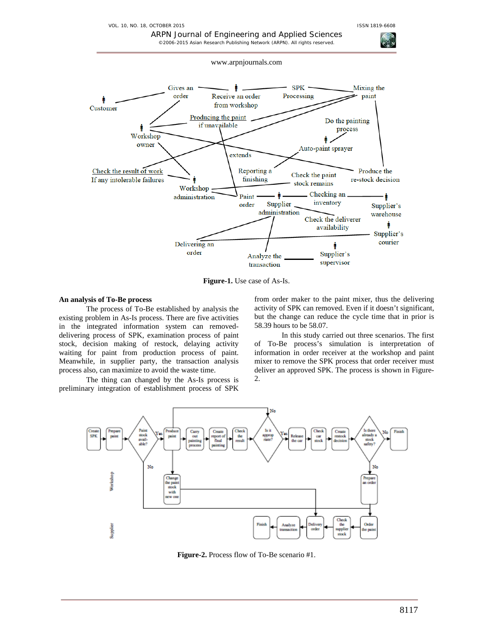VOL. 10, NO. 18, OCTOBER 2015 **ISSN 1819-6608** 



ARPN Journal of Engineering and Applied Sciences

**Figure-1.** Use case of As-Is.

#### **An analysis of To-Be process**

 The process of To-Be established by analysis the existing problem in As-Is process. There are five activities in the integrated information system can removeddelivering process of SPK, examination process of paint stock, decision making of restock, delaying activity waiting for paint from production process of paint. Meanwhile, in supplier party, the transaction analysis process also, can maximize to avoid the waste time.

The thing can changed by the As-Is process is preliminary integration of establishment process of SPK from order maker to the paint mixer, thus the delivering activity of SPK can removed. Even if it doesn't significant, but the change can reduce the cycle time that in prior is 58.39 hours to be 58.07.

In this study carried out three scenarios. The first of To-Be process's simulation is interpretation of information in order receiver at the workshop and paint mixer to remove the SPK process that order receiver must deliver an approved SPK. The process is shown in Figure-2.



**Figure-2.** Process flow of To-Be scenario #1.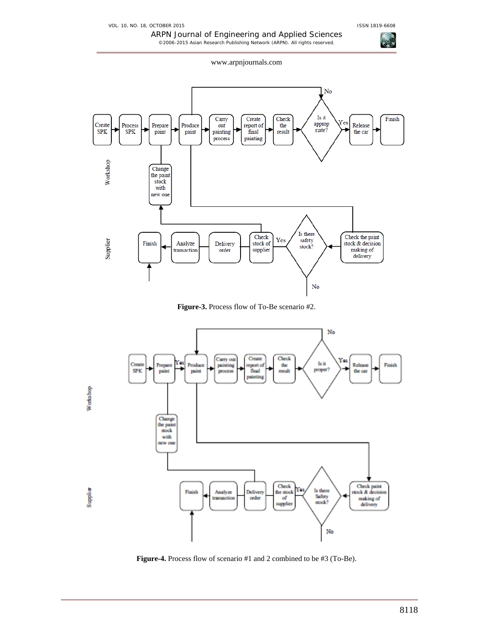ARPN Journal of Engineering and Applied Sciences ©2006-2015 Asian Research Publishing Network (ARPN). All rights reserved.

www.arpnjournals.com



**Figure-3.** Process flow of To-Be scenario #2.



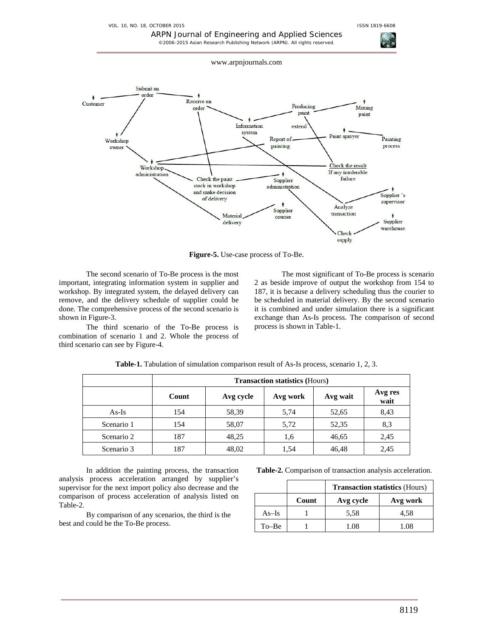VOL. 10, NO. 18, OCTOBER 2015 **ISSN 1819-6608** 





**Figure-5.** Use-case process of To-Be.

The second scenario of To-Be process is the most important, integrating information system in supplier and workshop. By integrated system, the delayed delivery can remove, and the delivery schedule of supplier could be done. The comprehensive process of the second scenario is shown in Figure-3.

The third scenario of the To-Be process is combination of scenario 1 and 2. Whole the process of third scenario can see by Figure-4.

The most significant of To-Be process is scenario 2 as beside improve of output the workshop from 154 to 187, it is because a delivery scheduling thus the courier to be scheduled in material delivery. By the second scenario it is combined and under simulation there is a significant exchange than As-Is process. The comparison of second process is shown in Table-1.

|            | <b>Transaction statistics (Hours)</b> |           |          |          |                 |  |
|------------|---------------------------------------|-----------|----------|----------|-----------------|--|
|            | Count                                 | Avg cycle | Avg work | Avg wait | Avg res<br>wait |  |
| $As-Is$    | 154                                   | 58,39     | 5,74     | 52,65    | 8,43            |  |
| Scenario 1 | 154                                   | 58,07     | 5,72     | 52,35    | 8,3             |  |
| Scenario 2 | 187                                   | 48,25     | 1,6      | 46,65    | 2,45            |  |
| Scenario 3 | 187                                   | 48,02     | 1.54     | 46,48    | 2,45            |  |

**Table-1.** Tabulation of simulation comparison result of As-Is process, scenario 1, 2, 3.

In addition the painting process, the transaction analysis process acceleration arranged by supplier's supervisor for the next import policy also decrease and the comparison of process acceleration of analysis listed on Table-2.

By comparison of any scenarios, the third is the best and could be the To-Be process.

**Table-2.** Comparison of transaction analysis acceleration.

|           |       | <b>Transaction statistics (Hours)</b> |          |  |
|-----------|-------|---------------------------------------|----------|--|
|           | Count | Avg cycle                             | Avg work |  |
| $As-Is$   |       | 5.58                                  | 4.58     |  |
| $To - Be$ |       | 1.08                                  | 1.08     |  |